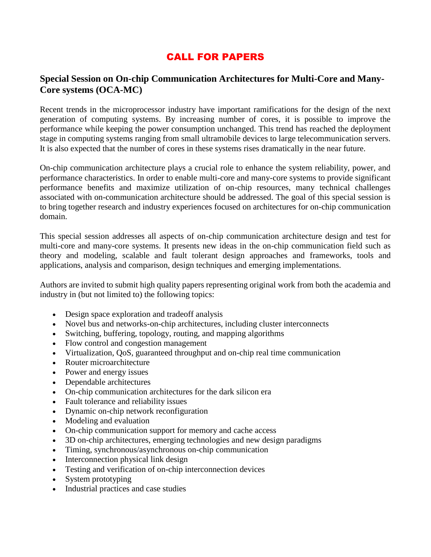# CALL FOR PAPERS

# **Special Session on On-chip Communication Architectures for Multi-Core and Many-Core systems (OCA-MC)**

Recent trends in the microprocessor industry have important ramifications for the design of the next generation of computing systems. By increasing number of cores, it is possible to improve the performance while keeping the power consumption unchanged. This trend has reached the deployment stage in computing systems ranging from small ultramobile devices to large telecommunication servers. It is also expected that the number of cores in these systems rises dramatically in the near future.

On-chip communication architecture plays a crucial role to enhance the system reliability, power, and performance characteristics. In order to enable multi-core and many-core systems to provide significant performance benefits and maximize utilization of on-chip resources, many technical challenges associated with on-communication architecture should be addressed. The goal of this special session is to bring together research and industry experiences focused on architectures for on-chip communication domain.

This special session addresses all aspects of on-chip communication architecture design and test for multi-core and many-core systems. It presents new ideas in the on-chip communication field such as theory and modeling, scalable and fault tolerant design approaches and frameworks, tools and applications, analysis and comparison, design techniques and emerging implementations.

Authors are invited to submit high quality papers representing original work from both the academia and industry in (but not limited to) the following topics:

- Design space exploration and tradeoff analysis
- Novel bus and networks-on-chip architectures, including cluster interconnects
- Switching, buffering, topology, routing, and mapping algorithms
- Flow control and congestion management
- Virtualization, QoS, guaranteed throughput and on-chip real time communication
- Router microarchitecture
- Power and energy issues
- Dependable architectures
- On-chip communication architectures for the dark silicon era
- Fault tolerance and reliability issues
- Dynamic on-chip network reconfiguration
- Modeling and evaluation
- On-chip communication support for memory and cache access
- 3D on-chip architectures, emerging technologies and new design paradigms
- Timing, synchronous/asynchronous on-chip communication
- Interconnection physical link design
- Testing and verification of on-chip interconnection devices
- System prototyping
- Industrial practices and case studies